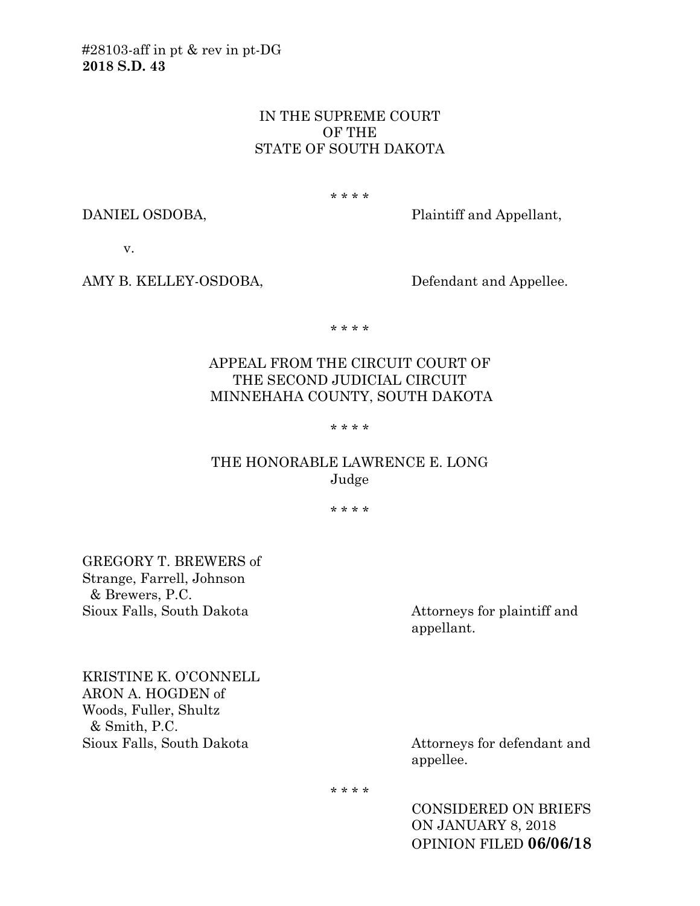### IN THE SUPREME COURT OF THE STATE OF SOUTH DAKOTA

\* \* \* \*

DANIEL OSDOBA, Plaintiff and Appellant,

v.

AMY B. KELLEY-OSDOBA, Defendant and Appellee.

\* \* \* \*

# APPEAL FROM THE CIRCUIT COURT OF THE SECOND JUDICIAL CIRCUIT MINNEHAHA COUNTY, SOUTH DAKOTA

#### \* \* \* \*

## THE HONORABLE LAWRENCE E. LONG Judge

\* \* \* \*

GREGORY T. BREWERS of Strange, Farrell, Johnson & Brewers, P.C. Sioux Falls, South Dakota Attorneys for plaintiff and

appellant.

KRISTINE K. O'CONNELL ARON A. HOGDEN of Woods, Fuller, Shultz & Smith, P.C. Sioux Falls, South Dakota Attorneys for defendant and

appellee.

\* \* \* \*

CONSIDERED ON BRIEFS ON JANUARY 8, 2018 OPINION FILED **06/06/18**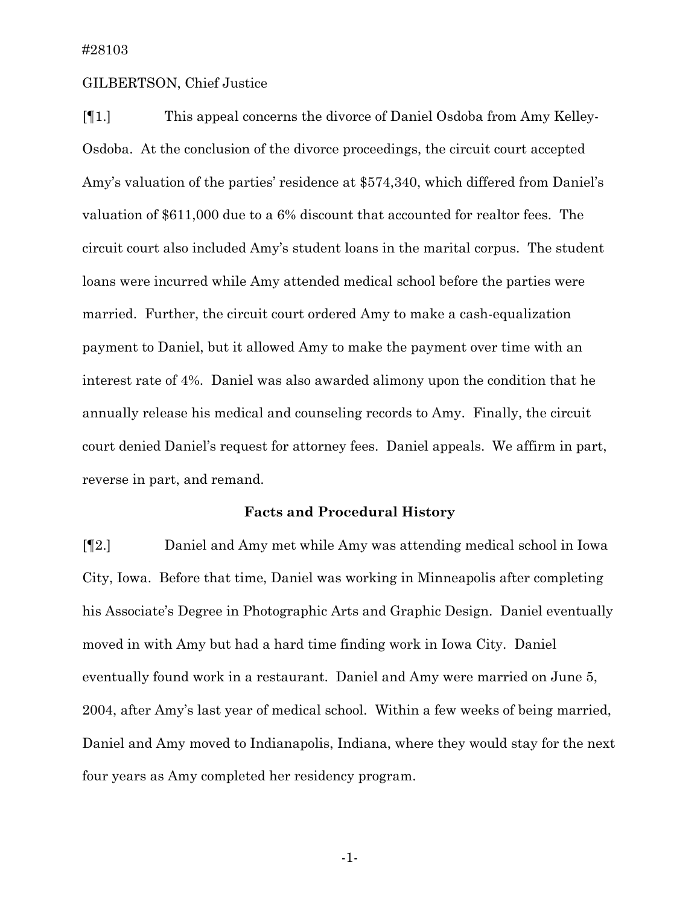#### GILBERTSON, Chief Justice

[¶1.] This appeal concerns the divorce of Daniel Osdoba from Amy Kelley-Osdoba. At the conclusion of the divorce proceedings, the circuit court accepted Amy's valuation of the parties' residence at \$574,340, which differed from Daniel's valuation of \$611,000 due to a 6% discount that accounted for realtor fees. The circuit court also included Amy's student loans in the marital corpus. The student loans were incurred while Amy attended medical school before the parties were married. Further, the circuit court ordered Amy to make a cash-equalization payment to Daniel, but it allowed Amy to make the payment over time with an interest rate of 4%. Daniel was also awarded alimony upon the condition that he annually release his medical and counseling records to Amy. Finally, the circuit court denied Daniel's request for attorney fees. Daniel appeals. We affirm in part, reverse in part, and remand.

### **Facts and Procedural History**

[¶2.] Daniel and Amy met while Amy was attending medical school in Iowa City, Iowa. Before that time, Daniel was working in Minneapolis after completing his Associate's Degree in Photographic Arts and Graphic Design. Daniel eventually moved in with Amy but had a hard time finding work in Iowa City. Daniel eventually found work in a restaurant. Daniel and Amy were married on June 5, 2004, after Amy's last year of medical school. Within a few weeks of being married, Daniel and Amy moved to Indianapolis, Indiana, where they would stay for the next four years as Amy completed her residency program.

-1-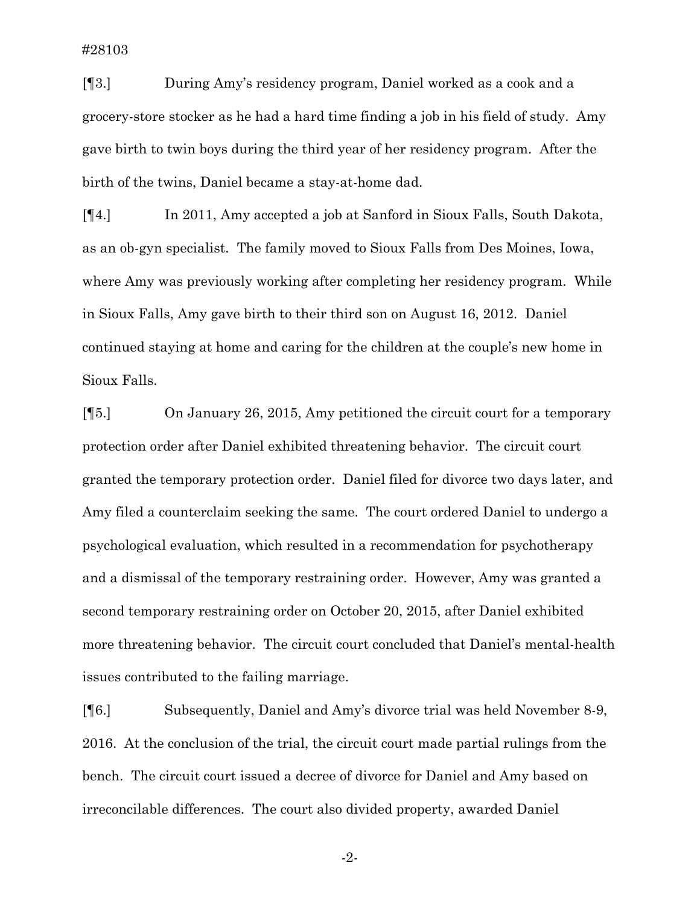[¶3.] During Amy's residency program, Daniel worked as a cook and a grocery-store stocker as he had a hard time finding a job in his field of study. Amy gave birth to twin boys during the third year of her residency program. After the birth of the twins, Daniel became a stay-at-home dad.

[¶4.] In 2011, Amy accepted a job at Sanford in Sioux Falls, South Dakota, as an ob-gyn specialist. The family moved to Sioux Falls from Des Moines, Iowa, where Amy was previously working after completing her residency program. While in Sioux Falls, Amy gave birth to their third son on August 16, 2012. Daniel continued staying at home and caring for the children at the couple's new home in Sioux Falls.

[¶5.] On January 26, 2015, Amy petitioned the circuit court for a temporary protection order after Daniel exhibited threatening behavior. The circuit court granted the temporary protection order. Daniel filed for divorce two days later, and Amy filed a counterclaim seeking the same. The court ordered Daniel to undergo a psychological evaluation, which resulted in a recommendation for psychotherapy and a dismissal of the temporary restraining order. However, Amy was granted a second temporary restraining order on October 20, 2015, after Daniel exhibited more threatening behavior. The circuit court concluded that Daniel's mental-health issues contributed to the failing marriage.

[¶6.] Subsequently, Daniel and Amy's divorce trial was held November 8-9, 2016. At the conclusion of the trial, the circuit court made partial rulings from the bench. The circuit court issued a decree of divorce for Daniel and Amy based on irreconcilable differences. The court also divided property, awarded Daniel

-2-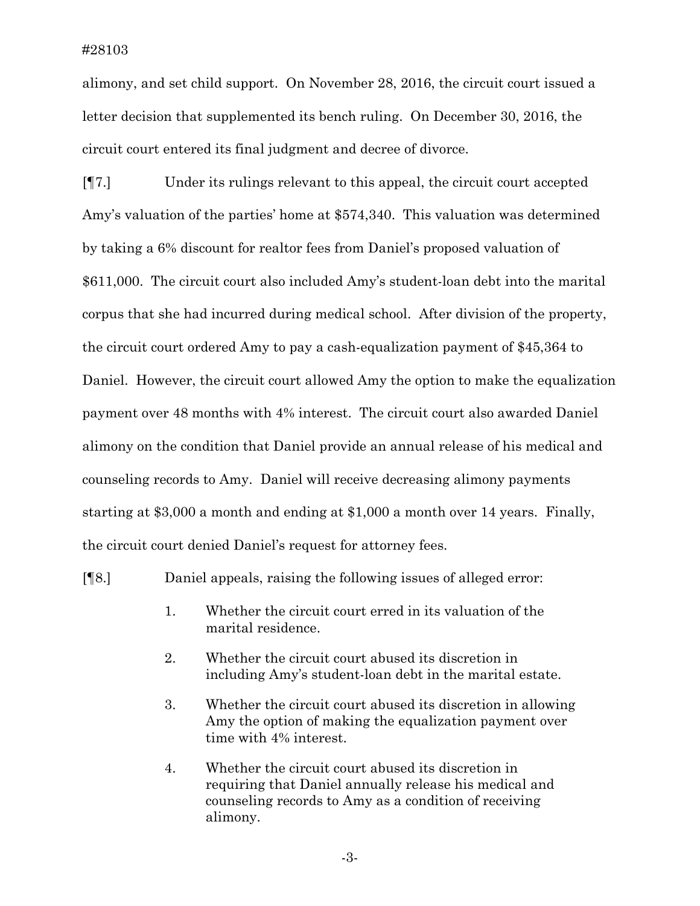alimony, and set child support. On November 28, 2016, the circuit court issued a letter decision that supplemented its bench ruling. On December 30, 2016, the circuit court entered its final judgment and decree of divorce.

[¶7.] Under its rulings relevant to this appeal, the circuit court accepted Amy's valuation of the parties' home at \$574,340. This valuation was determined by taking a 6% discount for realtor fees from Daniel's proposed valuation of \$611,000. The circuit court also included Amy's student-loan debt into the marital corpus that she had incurred during medical school. After division of the property, the circuit court ordered Amy to pay a cash-equalization payment of \$45,364 to Daniel. However, the circuit court allowed Amy the option to make the equalization payment over 48 months with 4% interest. The circuit court also awarded Daniel alimony on the condition that Daniel provide an annual release of his medical and counseling records to Amy. Daniel will receive decreasing alimony payments starting at \$3,000 a month and ending at \$1,000 a month over 14 years. Finally, the circuit court denied Daniel's request for attorney fees.

[¶8.] Daniel appeals, raising the following issues of alleged error:

- 1. Whether the circuit court erred in its valuation of the marital residence.
- 2. Whether the circuit court abused its discretion in including Amy's student-loan debt in the marital estate.
- 3. Whether the circuit court abused its discretion in allowing Amy the option of making the equalization payment over time with 4% interest.
- 4. Whether the circuit court abused its discretion in requiring that Daniel annually release his medical and counseling records to Amy as a condition of receiving alimony.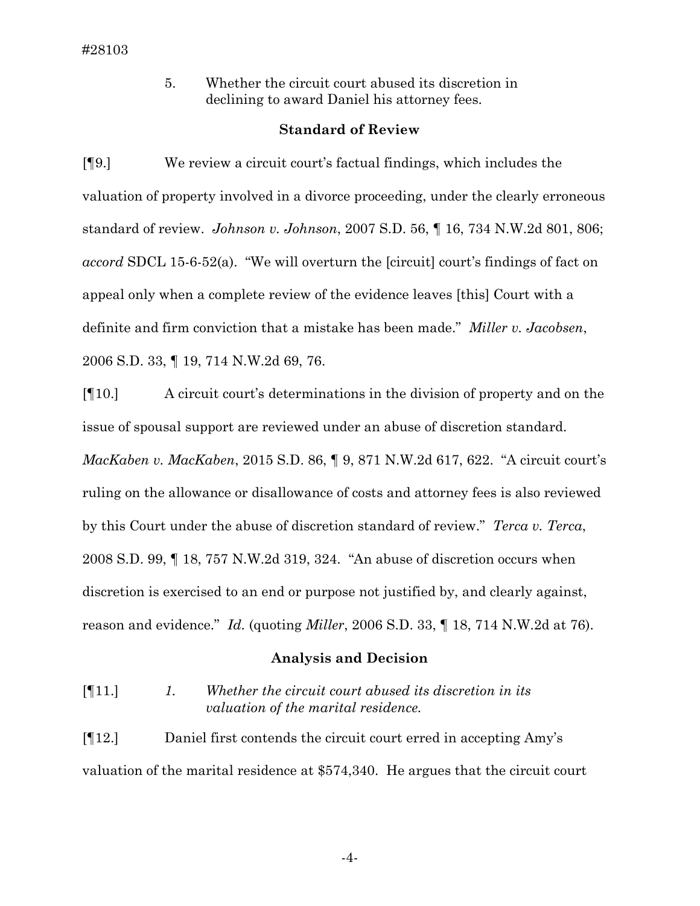5. Whether the circuit court abused its discretion in declining to award Daniel his attorney fees.

#### **Standard of Review**

[¶9.] We review a circuit court's factual findings, which includes the valuation of property involved in a divorce proceeding, under the clearly erroneous standard of review. *Johnson v. Johnson*, 2007 S.D. 56, ¶ 16, 734 N.W.2d 801, 806; *accord* SDCL 15-6-52(a). "We will overturn the [circuit] court's findings of fact on appeal only when a complete review of the evidence leaves [this] Court with a definite and firm conviction that a mistake has been made." *Miller v. Jacobsen*, 2006 S.D. 33, ¶ 19, 714 N.W.2d 69, 76.

[¶10.] A circuit court's determinations in the division of property and on the issue of spousal support are reviewed under an abuse of discretion standard. *MacKaben v. MacKaben*, 2015 S.D. 86, ¶ 9, 871 N.W.2d 617, 622. "A circuit court's ruling on the allowance or disallowance of costs and attorney fees is also reviewed by this Court under the abuse of discretion standard of review." *Terca v. Terca*, 2008 S.D. 99, ¶ 18, 757 N.W.2d 319, 324. "An abuse of discretion occurs when discretion is exercised to an end or purpose not justified by, and clearly against, reason and evidence." *Id.* (quoting *Miller*, 2006 S.D. 33, ¶ 18, 714 N.W.2d at 76).

#### **Analysis and Decision**

[¶11.] *1. Whether the circuit court abused its discretion in its valuation of the marital residence.*

[¶12.] Daniel first contends the circuit court erred in accepting Amy's valuation of the marital residence at \$574,340. He argues that the circuit court

-4-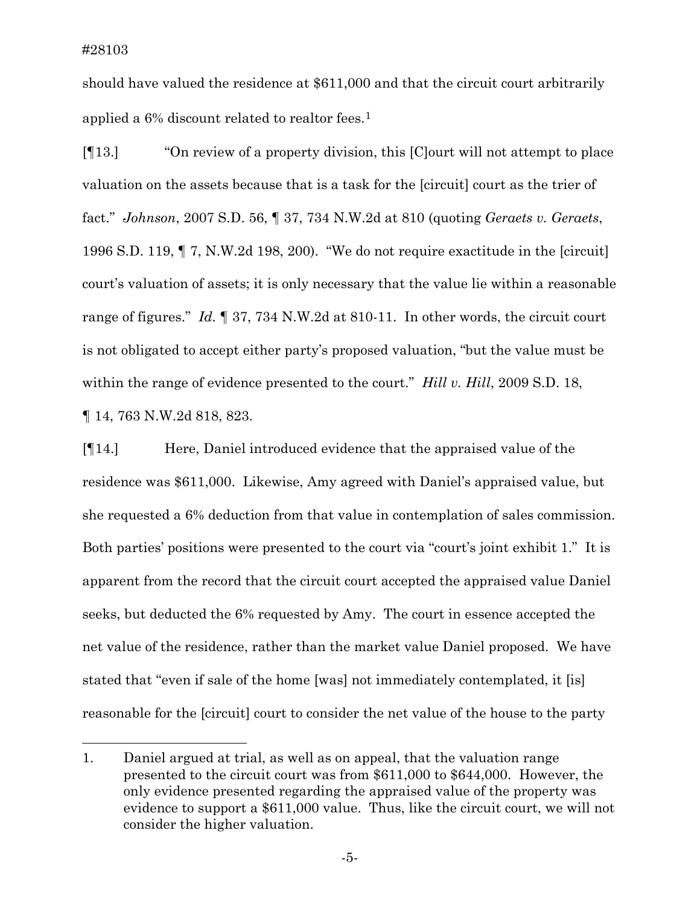$\overline{a}$ 

should have valued the residence at \$611,000 and that the circuit court arbitrarily applied a  $6\%$  discount related to realtor fees.<sup>[1](#page-5-0)</sup>

[¶13.] "On review of a property division, this [C]ourt will not attempt to place valuation on the assets because that is a task for the [circuit] court as the trier of fact." *Johnson*, 2007 S.D. 56, ¶ 37, 734 N.W.2d at 810 (quoting *Geraets v. Geraets*, 1996 S.D. 119, ¶ 7, N.W.2d 198, 200). "We do not require exactitude in the [circuit] court's valuation of assets; it is only necessary that the value lie within a reasonable range of figures." *Id.* ¶ 37, 734 N.W.2d at 810-11. In other words, the circuit court is not obligated to accept either party's proposed valuation, "but the value must be within the range of evidence presented to the court." *Hill v. Hill*, 2009 S.D. 18, ¶ 14, 763 N.W.2d 818, 823.

[¶14.] Here, Daniel introduced evidence that the appraised value of the residence was \$611,000. Likewise, Amy agreed with Daniel's appraised value, but she requested a 6% deduction from that value in contemplation of sales commission. Both parties' positions were presented to the court via "court's joint exhibit 1." It is apparent from the record that the circuit court accepted the appraised value Daniel seeks, but deducted the 6% requested by Amy. The court in essence accepted the net value of the residence, rather than the market value Daniel proposed. We have stated that "even if sale of the home [was] not immediately contemplated, it [is] reasonable for the [circuit] court to consider the net value of the house to the party

<span id="page-5-0"></span><sup>1.</sup> Daniel argued at trial, as well as on appeal, that the valuation range presented to the circuit court was from \$611,000 to \$644,000. However, the only evidence presented regarding the appraised value of the property was evidence to support a \$611,000 value. Thus, like the circuit court, we will not consider the higher valuation.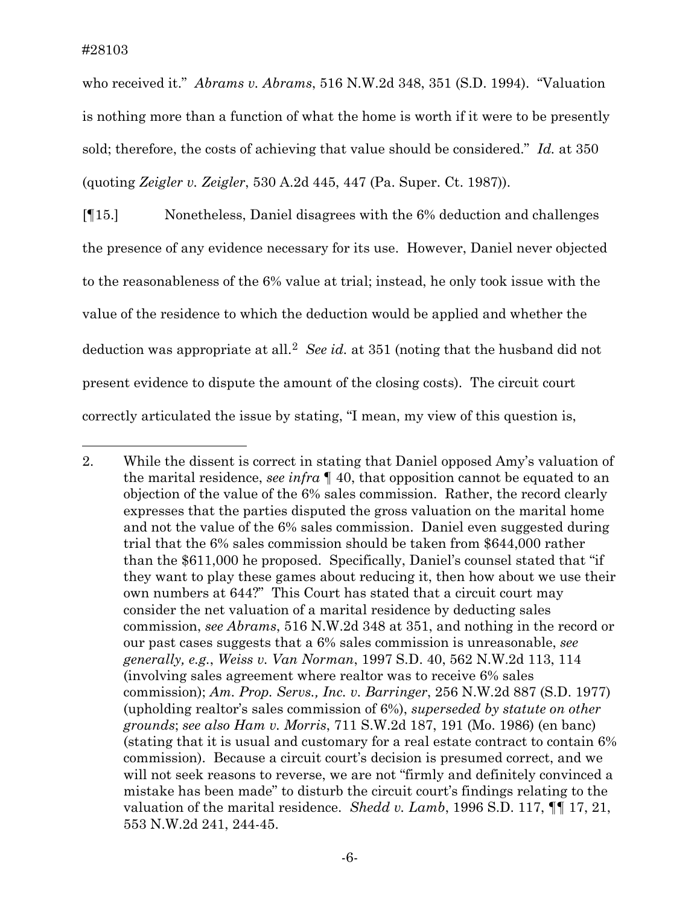who received it." *Abrams v. Abrams*, 516 N.W.2d 348, 351 (S.D. 1994). "Valuation is nothing more than a function of what the home is worth if it were to be presently sold; therefore, the costs of achieving that value should be considered." *Id.* at 350 (quoting *Zeigler v. Zeigler*, 530 A.2d 445, 447 (Pa. Super. Ct. 1987)).

[¶15.] Nonetheless, Daniel disagrees with the 6% deduction and challenges the presence of any evidence necessary for its use. However, Daniel never objected to the reasonableness of the 6% value at trial; instead, he only took issue with the value of the residence to which the deduction would be applied and whether the deduction was appropriate at all.[2](#page-6-0) *See id.* at 351 (noting that the husband did not present evidence to dispute the amount of the closing costs). The circuit court correctly articulated the issue by stating, "I mean, my view of this question is,

<span id="page-6-0"></span> $\overline{a}$ 2. While the dissent is correct in stating that Daniel opposed Amy's valuation of the marital residence, *see infra* ¶ 40, that opposition cannot be equated to an objection of the value of the 6% sales commission. Rather, the record clearly expresses that the parties disputed the gross valuation on the marital home and not the value of the 6% sales commission. Daniel even suggested during trial that the 6% sales commission should be taken from \$644,000 rather than the \$611,000 he proposed. Specifically, Daniel's counsel stated that "if they want to play these games about reducing it, then how about we use their own numbers at 644?" This Court has stated that a circuit court may consider the net valuation of a marital residence by deducting sales commission, *see Abrams*, 516 N.W.2d 348 at 351, and nothing in the record or our past cases suggests that a 6% sales commission is unreasonable, *see generally, e.g.*, *Weiss v. Van Norman*, 1997 S.D. 40, 562 N.W.2d 113, 114 (involving sales agreement where realtor was to receive 6% sales commission); *Am. Prop. Servs., Inc. v. Barringer*, 256 N.W.2d 887 (S.D. 1977) (upholding realtor's sales commission of 6%), *superseded by statute on other grounds*; *see also Ham v. Morris*, 711 S.W.2d 187, 191 (Mo. 1986) (en banc) (stating that it is usual and customary for a real estate contract to contain 6% commission). Because a circuit court's decision is presumed correct, and we will not seek reasons to reverse, we are not "firmly and definitely convinced a mistake has been made" to disturb the circuit court's findings relating to the valuation of the marital residence. *Shedd v. Lamb*, 1996 S.D. 117, ¶¶ 17, 21, 553 N.W.2d 241, 244-45.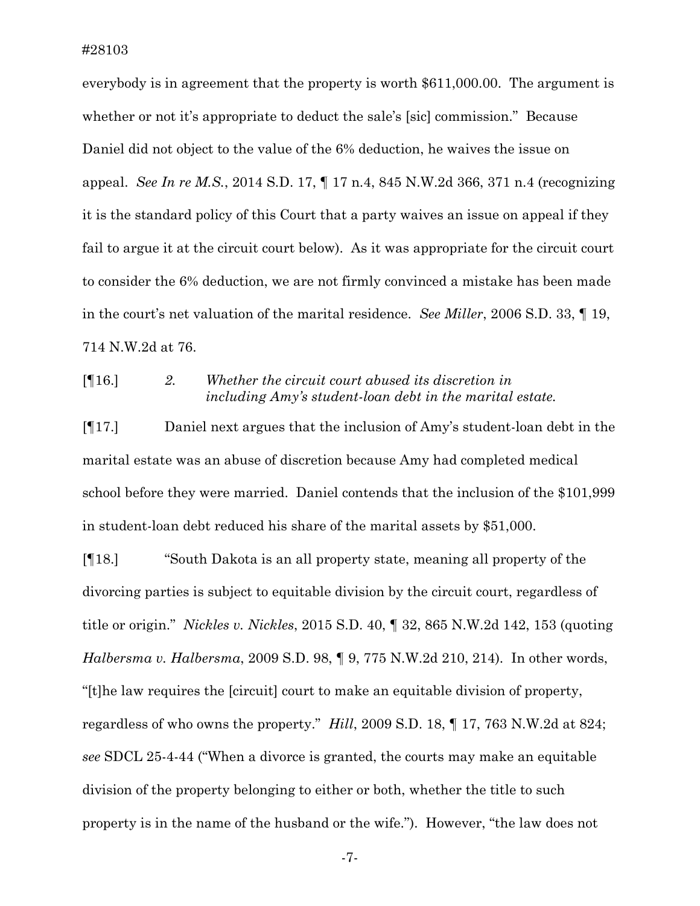#28103

everybody is in agreement that the property is worth \$611,000.00. The argument is whether or not it's appropriate to deduct the sale's [sic] commission." Because Daniel did not object to the value of the 6% deduction, he waives the issue on appeal. *See In re M.S.*, 2014 S.D. 17, ¶ 17 n.4, 845 N.W.2d 366, 371 n.4 (recognizing it is the standard policy of this Court that a party waives an issue on appeal if they fail to argue it at the circuit court below). As it was appropriate for the circuit court to consider the 6% deduction, we are not firmly convinced a mistake has been made in the court's net valuation of the marital residence. *See Miller*, 2006 S.D. 33, ¶ 19, 714 N.W.2d at 76.

# [¶16.] *2. Whether the circuit court abused its discretion in including Amy's student-loan debt in the marital estate.*

[¶17.] Daniel next argues that the inclusion of Amy's student-loan debt in the marital estate was an abuse of discretion because Amy had completed medical school before they were married. Daniel contends that the inclusion of the \$101,999 in student-loan debt reduced his share of the marital assets by \$51,000.

[¶18.] "South Dakota is an all property state, meaning all property of the divorcing parties is subject to equitable division by the circuit court, regardless of title or origin." *Nickles v. Nickles*, 2015 S.D. 40, ¶ 32, 865 N.W.2d 142, 153 (quoting *Halbersma v. Halbersma*, 2009 S.D. 98, ¶ 9, 775 N.W.2d 210, 214). In other words, "[t]he law requires the [circuit] court to make an equitable division of property, regardless of who owns the property." *Hill*, 2009 S.D. 18, ¶ 17, 763 N.W.2d at 824; *see* SDCL 25-4-44 ("When a divorce is granted, the courts may make an equitable division of the property belonging to either or both, whether the title to such property is in the name of the husband or the wife."). However, "the law does not

-7-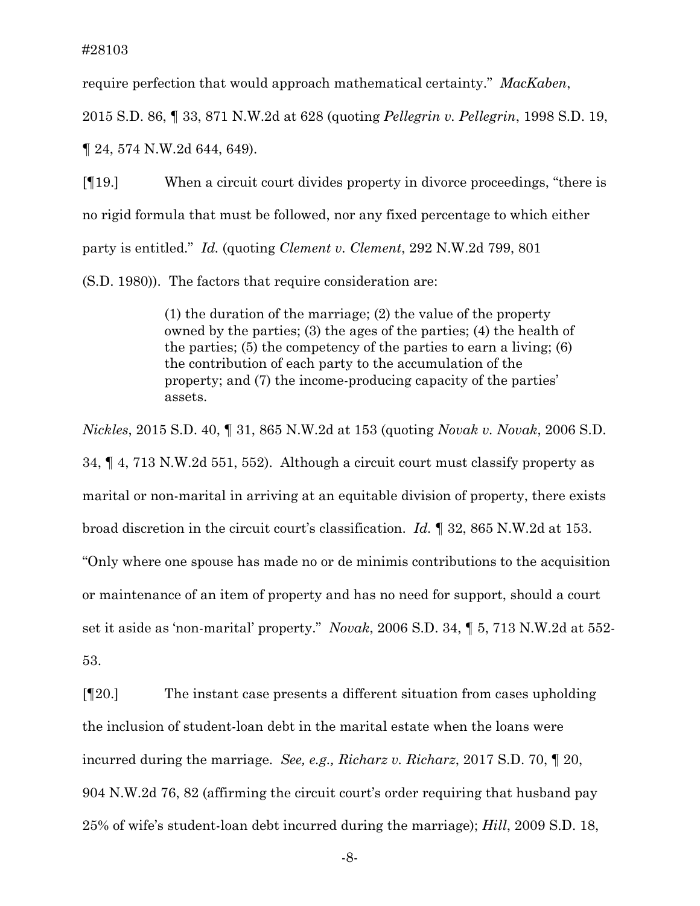require perfection that would approach mathematical certainty." *MacKaben*,

2015 S.D. 86, ¶ 33, 871 N.W.2d at 628 (quoting *Pellegrin v. Pellegrin*, 1998 S.D. 19,

¶ 24, 574 N.W.2d 644, 649).

[¶19.] When a circuit court divides property in divorce proceedings, "there is no rigid formula that must be followed, nor any fixed percentage to which either party is entitled." *Id.* (quoting *Clement v. Clement*, 292 N.W.2d 799, 801 (S.D. 1980)). The factors that require consideration are:

> (1) the duration of the marriage; (2) the value of the property owned by the parties; (3) the ages of the parties; (4) the health of the parties;  $(5)$  the competency of the parties to earn a living;  $(6)$ the contribution of each party to the accumulation of the property; and (7) the income-producing capacity of the parties' assets.

*Nickles*, 2015 S.D. 40, ¶ 31, 865 N.W.2d at 153 (quoting *Novak v. Novak*, 2006 S.D. 34, ¶ 4, 713 N.W.2d 551, 552). Although a circuit court must classify property as marital or non-marital in arriving at an equitable division of property, there exists broad discretion in the circuit court's classification. *Id.* ¶ 32, 865 N.W.2d at 153. "Only where one spouse has made no or de minimis contributions to the acquisition or maintenance of an item of property and has no need for support, should a court set it aside as 'non-marital' property." *Novak*, 2006 S.D. 34, ¶ 5, 713 N.W.2d at 552- 53.

[¶20.] The instant case presents a different situation from cases upholding the inclusion of student-loan debt in the marital estate when the loans were incurred during the marriage. *See, e.g., Richarz v. Richarz*, 2017 S.D. 70, ¶ 20, 904 N.W.2d 76, 82 (affirming the circuit court's order requiring that husband pay 25% of wife's student-loan debt incurred during the marriage); *Hill*, 2009 S.D. 18,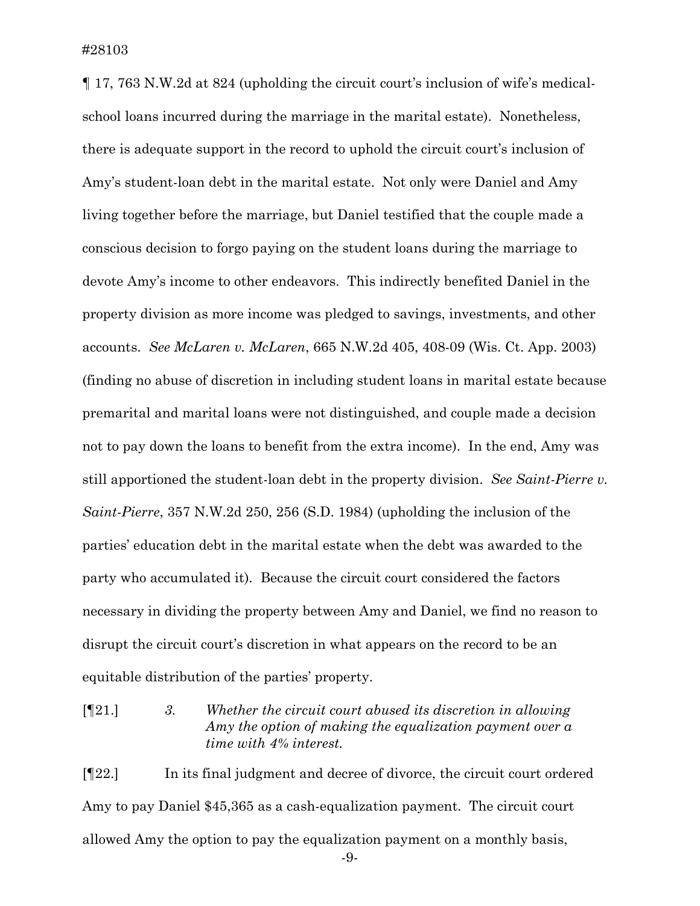¶ 17, 763 N.W.2d at 824 (upholding the circuit court's inclusion of wife's medicalschool loans incurred during the marriage in the marital estate). Nonetheless, there is adequate support in the record to uphold the circuit court's inclusion of Amy's student-loan debt in the marital estate. Not only were Daniel and Amy living together before the marriage, but Daniel testified that the couple made a conscious decision to forgo paying on the student loans during the marriage to devote Amy's income to other endeavors. This indirectly benefited Daniel in the property division as more income was pledged to savings, investments, and other accounts. *See McLaren v. McLaren*, 665 N.W.2d 405, 408-09 (Wis. Ct. App. 2003) (finding no abuse of discretion in including student loans in marital estate because premarital and marital loans were not distinguished, and couple made a decision not to pay down the loans to benefit from the extra income). In the end, Amy was still apportioned the student-loan debt in the property division. *See Saint-Pierre v. Saint-Pierre*, 357 N.W.2d 250, 256 (S.D. 1984) (upholding the inclusion of the parties' education debt in the marital estate when the debt was awarded to the party who accumulated it). Because the circuit court considered the factors necessary in dividing the property between Amy and Daniel, we find no reason to disrupt the circuit court's discretion in what appears on the record to be an equitable distribution of the parties' property.

[¶21.] *3. Whether the circuit court abused its discretion in allowing Amy the option of making the equalization payment over a time with 4% interest.*

-9- [¶22.] In its final judgment and decree of divorce, the circuit court ordered Amy to pay Daniel \$45,365 as a cash-equalization payment. The circuit court allowed Amy the option to pay the equalization payment on a monthly basis,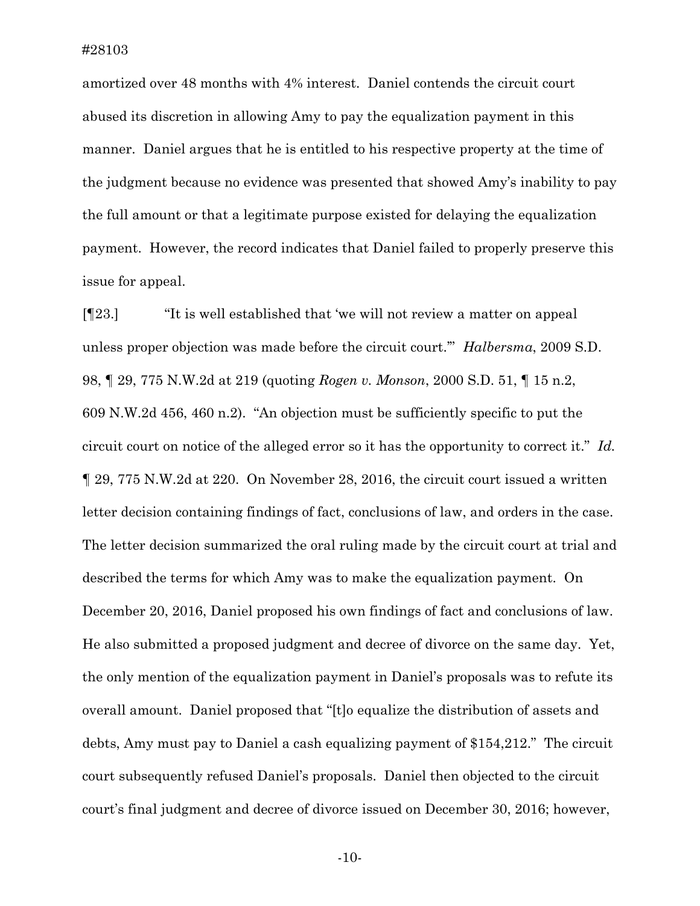amortized over 48 months with 4% interest. Daniel contends the circuit court abused its discretion in allowing Amy to pay the equalization payment in this manner. Daniel argues that he is entitled to his respective property at the time of the judgment because no evidence was presented that showed Amy's inability to pay the full amount or that a legitimate purpose existed for delaying the equalization payment. However, the record indicates that Daniel failed to properly preserve this issue for appeal.

[¶23.] "It is well established that 'we will not review a matter on appeal unless proper objection was made before the circuit court.'" *Halbersma*, 2009 S.D. 98, ¶ 29, 775 N.W.2d at 219 (quoting *Rogen v. Monson*, 2000 S.D. 51, ¶ 15 n.2, 609 N.W.2d 456, 460 n.2). "An objection must be sufficiently specific to put the circuit court on notice of the alleged error so it has the opportunity to correct it." *Id.*  ¶ 29, 775 N.W.2d at 220. On November 28, 2016, the circuit court issued a written letter decision containing findings of fact, conclusions of law, and orders in the case. The letter decision summarized the oral ruling made by the circuit court at trial and described the terms for which Amy was to make the equalization payment. On December 20, 2016, Daniel proposed his own findings of fact and conclusions of law. He also submitted a proposed judgment and decree of divorce on the same day. Yet, the only mention of the equalization payment in Daniel's proposals was to refute its overall amount. Daniel proposed that "[t]o equalize the distribution of assets and debts, Amy must pay to Daniel a cash equalizing payment of \$154,212." The circuit court subsequently refused Daniel's proposals. Daniel then objected to the circuit court's final judgment and decree of divorce issued on December 30, 2016; however,

-10-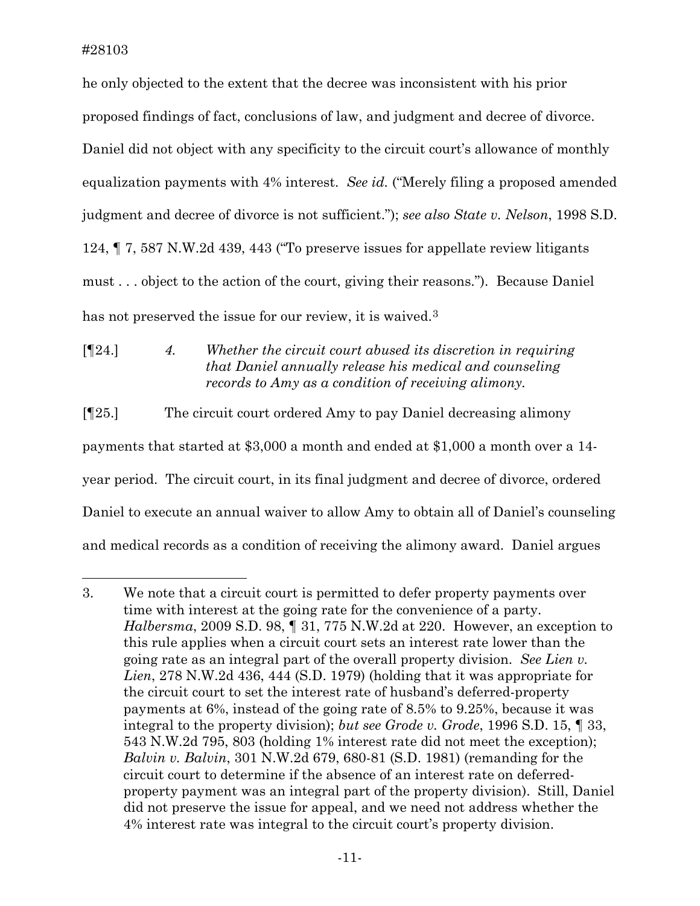$\overline{a}$ 

he only objected to the extent that the decree was inconsistent with his prior proposed findings of fact, conclusions of law, and judgment and decree of divorce. Daniel did not object with any specificity to the circuit court's allowance of monthly equalization payments with 4% interest. *See id.* ("Merely filing a proposed amended judgment and decree of divorce is not sufficient."); *see also State v. Nelson*, 1998 S.D. 124, ¶ 7, 587 N.W.2d 439, 443 ("To preserve issues for appellate review litigants must . . . object to the action of the court, giving their reasons."). Because Daniel has not preserved the issue for our review, it is waived.<sup>[3](#page-11-0)</sup>

[¶24.] *4. Whether the circuit court abused its discretion in requiring that Daniel annually release his medical and counseling records to Amy as a condition of receiving alimony.*

[¶25.] The circuit court ordered Amy to pay Daniel decreasing alimony payments that started at \$3,000 a month and ended at \$1,000 a month over a 14 year period. The circuit court, in its final judgment and decree of divorce, ordered Daniel to execute an annual waiver to allow Amy to obtain all of Daniel's counseling and medical records as a condition of receiving the alimony award. Daniel argues

<span id="page-11-0"></span><sup>3.</sup> We note that a circuit court is permitted to defer property payments over time with interest at the going rate for the convenience of a party. *Halbersma*, 2009 S.D. 98, ¶ 31, 775 N.W.2d at 220. However, an exception to this rule applies when a circuit court sets an interest rate lower than the going rate as an integral part of the overall property division. *See Lien v. Lien*, 278 N.W.2d 436, 444 (S.D. 1979) (holding that it was appropriate for the circuit court to set the interest rate of husband's deferred-property payments at 6%, instead of the going rate of 8.5% to 9.25%, because it was integral to the property division); *but see Grode v. Grode*, 1996 S.D. 15, ¶ 33, 543 N.W.2d 795, 803 (holding 1% interest rate did not meet the exception); *Balvin v. Balvin*, 301 N.W.2d 679, 680-81 (S.D. 1981) (remanding for the circuit court to determine if the absence of an interest rate on deferredproperty payment was an integral part of the property division). Still, Daniel did not preserve the issue for appeal, and we need not address whether the 4% interest rate was integral to the circuit court's property division.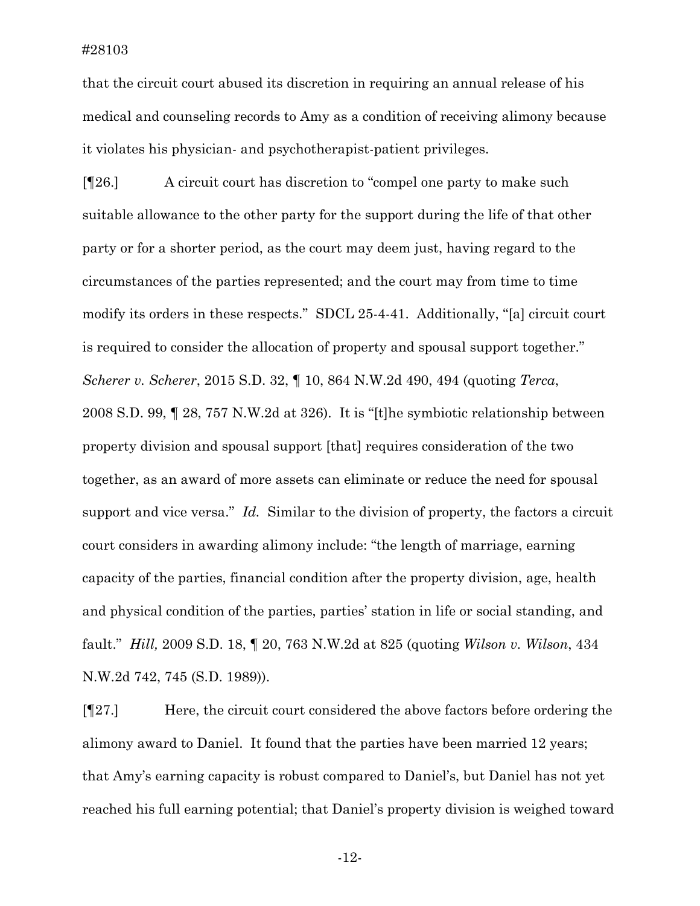that the circuit court abused its discretion in requiring an annual release of his medical and counseling records to Amy as a condition of receiving alimony because it violates his physician- and psychotherapist-patient privileges.

[¶26.] A circuit court has discretion to "compel one party to make such suitable allowance to the other party for the support during the life of that other party or for a shorter period, as the court may deem just, having regard to the circumstances of the parties represented; and the court may from time to time modify its orders in these respects." SDCL 25-4-41. Additionally, "[a] circuit court is required to consider the allocation of property and spousal support together." *Scherer v. Scherer*, 2015 S.D. 32, ¶ 10, 864 N.W.2d 490, 494 (quoting *Terca*, 2008 S.D. 99, ¶ 28, 757 N.W.2d at 326). It is "[t]he symbiotic relationship between property division and spousal support [that] requires consideration of the two together, as an award of more assets can eliminate or reduce the need for spousal support and vice versa." *Id.* Similar to the division of property, the factors a circuit court considers in awarding alimony include: "the length of marriage, earning capacity of the parties, financial condition after the property division, age, health and physical condition of the parties, parties' station in life or social standing, and fault." *Hill,* 2009 S.D. 18, ¶ 20, 763 N.W.2d at 825 (quoting *Wilson v. Wilson*, 434 N.W.2d 742, 745 (S.D. 1989)).

[¶27.] Here, the circuit court considered the above factors before ordering the alimony award to Daniel. It found that the parties have been married 12 years; that Amy's earning capacity is robust compared to Daniel's, but Daniel has not yet reached his full earning potential; that Daniel's property division is weighed toward

-12-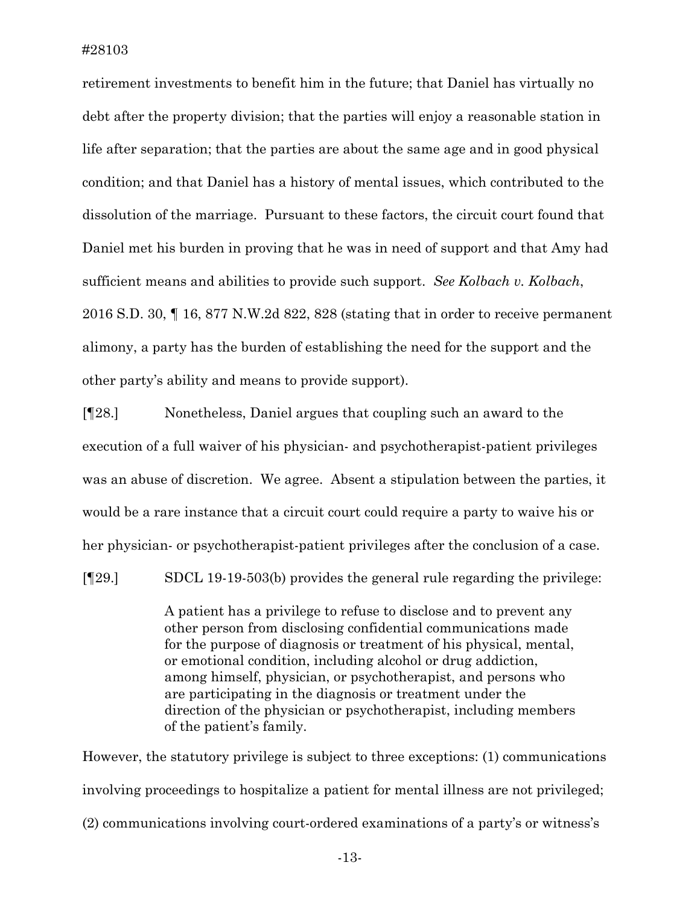retirement investments to benefit him in the future; that Daniel has virtually no debt after the property division; that the parties will enjoy a reasonable station in life after separation; that the parties are about the same age and in good physical condition; and that Daniel has a history of mental issues, which contributed to the dissolution of the marriage. Pursuant to these factors, the circuit court found that Daniel met his burden in proving that he was in need of support and that Amy had sufficient means and abilities to provide such support. *See Kolbach v. Kolbach*, 2016 S.D. 30, ¶ 16, 877 N.W.2d 822, 828 (stating that in order to receive permanent alimony, a party has the burden of establishing the need for the support and the other party's ability and means to provide support).

[¶28.] Nonetheless, Daniel argues that coupling such an award to the execution of a full waiver of his physician- and psychotherapist-patient privileges was an abuse of discretion. We agree. Absent a stipulation between the parties, it would be a rare instance that a circuit court could require a party to waive his or her physician- or psychotherapist-patient privileges after the conclusion of a case.

[¶29.] SDCL 19-19-503(b) provides the general rule regarding the privilege:

A patient has a privilege to refuse to disclose and to prevent any other person from disclosing confidential communications made for the purpose of diagnosis or treatment of his physical, mental, or emotional condition, including alcohol or drug addiction, among himself, physician, or psychotherapist, and persons who are participating in the diagnosis or treatment under the direction of the physician or psychotherapist, including members of the patient's family.

However, the statutory privilege is subject to three exceptions: (1) communications involving proceedings to hospitalize a patient for mental illness are not privileged; (2) communications involving court-ordered examinations of a party's or witness's

-13-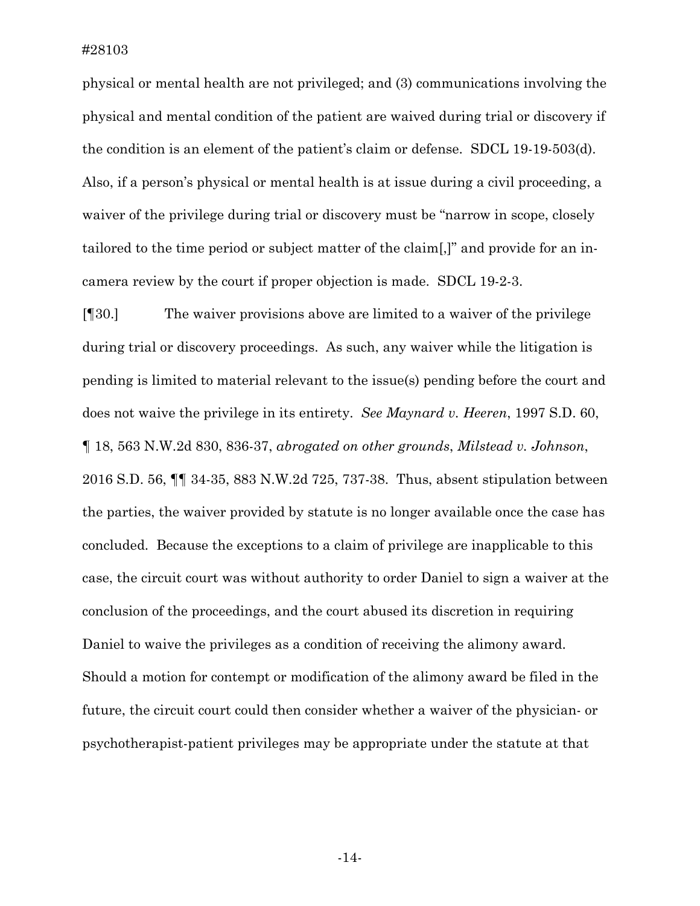physical or mental health are not privileged; and (3) communications involving the physical and mental condition of the patient are waived during trial or discovery if the condition is an element of the patient's claim or defense. SDCL 19-19-503(d). Also, if a person's physical or mental health is at issue during a civil proceeding, a waiver of the privilege during trial or discovery must be "narrow in scope, closely tailored to the time period or subject matter of the claim[,]" and provide for an incamera review by the court if proper objection is made. SDCL 19-2-3.

[¶30.] The waiver provisions above are limited to a waiver of the privilege during trial or discovery proceedings. As such, any waiver while the litigation is pending is limited to material relevant to the issue(s) pending before the court and does not waive the privilege in its entirety. *See Maynard v. Heeren*, 1997 S.D. 60, ¶ 18, 563 N.W.2d 830, 836-37, *abrogated on other grounds*, *Milstead v. Johnson*, 2016 S.D. 56, ¶¶ 34-35, 883 N.W.2d 725, 737-38. Thus, absent stipulation between the parties, the waiver provided by statute is no longer available once the case has concluded. Because the exceptions to a claim of privilege are inapplicable to this case, the circuit court was without authority to order Daniel to sign a waiver at the conclusion of the proceedings, and the court abused its discretion in requiring Daniel to waive the privileges as a condition of receiving the alimony award. Should a motion for contempt or modification of the alimony award be filed in the future, the circuit court could then consider whether a waiver of the physician- or psychotherapist-patient privileges may be appropriate under the statute at that

-14-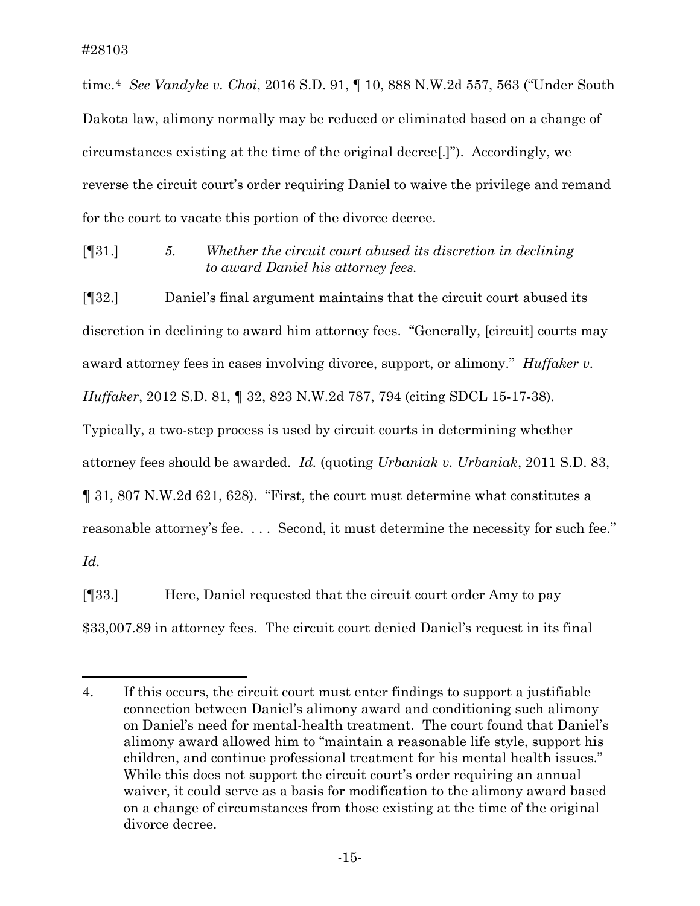time.[4](#page-15-0) *See Vandyke v. Choi*, 2016 S.D. 91, ¶ 10, 888 N.W.2d 557, 563 ("Under South Dakota law, alimony normally may be reduced or eliminated based on a change of circumstances existing at the time of the original decree[.]"). Accordingly, we reverse the circuit court's order requiring Daniel to waive the privilege and remand for the court to vacate this portion of the divorce decree.

[¶31.] *5. Whether the circuit court abused its discretion in declining to award Daniel his attorney fees.*

[¶32.] Daniel's final argument maintains that the circuit court abused its discretion in declining to award him attorney fees. "Generally, [circuit] courts may award attorney fees in cases involving divorce, support, or alimony." *Huffaker v. Huffaker*, 2012 S.D. 81, ¶ 32, 823 N.W.2d 787, 794 (citing SDCL 15-17-38).

Typically, a two-step process is used by circuit courts in determining whether

attorney fees should be awarded. *Id.* (quoting *Urbaniak v. Urbaniak*, 2011 S.D. 83,

¶ 31, 807 N.W.2d 621, 628). "First, the court must determine what constitutes a

reasonable attorney's fee. . . . Second, it must determine the necessity for such fee."

*Id.*

 $\overline{a}$ 

[¶33.] Here, Daniel requested that the circuit court order Amy to pay \$33,007.89 in attorney fees. The circuit court denied Daniel's request in its final

<span id="page-15-0"></span><sup>4.</sup> If this occurs, the circuit court must enter findings to support a justifiable connection between Daniel's alimony award and conditioning such alimony on Daniel's need for mental-health treatment. The court found that Daniel's alimony award allowed him to "maintain a reasonable life style, support his children, and continue professional treatment for his mental health issues." While this does not support the circuit court's order requiring an annual waiver, it could serve as a basis for modification to the alimony award based on a change of circumstances from those existing at the time of the original divorce decree.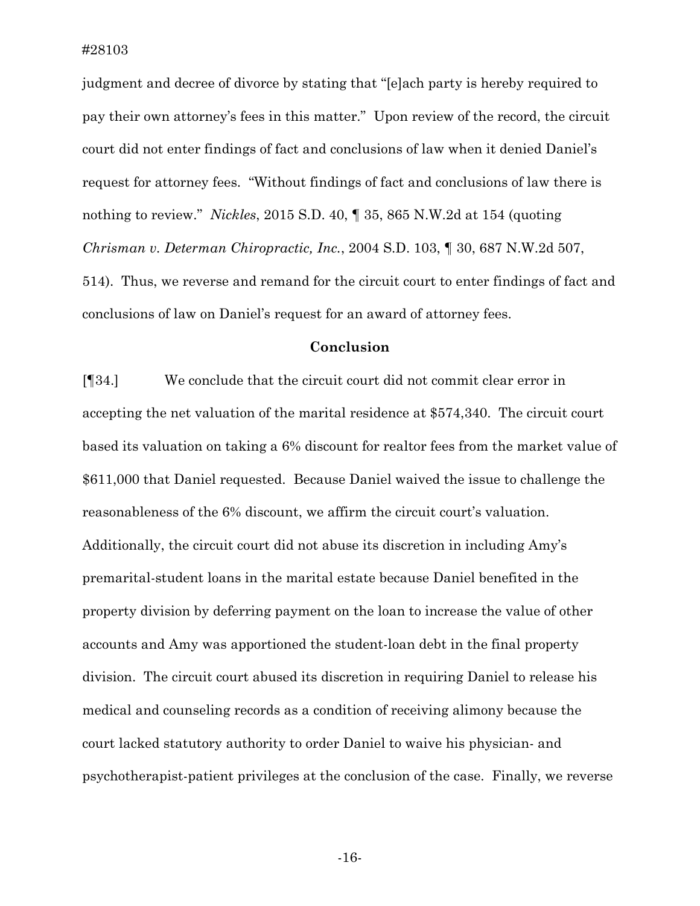judgment and decree of divorce by stating that "[e]ach party is hereby required to pay their own attorney's fees in this matter." Upon review of the record, the circuit court did not enter findings of fact and conclusions of law when it denied Daniel's request for attorney fees. "Without findings of fact and conclusions of law there is nothing to review." *Nickles*, 2015 S.D. 40, ¶ 35, 865 N.W.2d at 154 (quoting *Chrisman v. Determan Chiropractic, Inc.*, 2004 S.D. 103, ¶ 30, 687 N.W.2d 507, 514). Thus, we reverse and remand for the circuit court to enter findings of fact and conclusions of law on Daniel's request for an award of attorney fees.

#### **Conclusion**

[¶34.] We conclude that the circuit court did not commit clear error in accepting the net valuation of the marital residence at \$574,340. The circuit court based its valuation on taking a 6% discount for realtor fees from the market value of \$611,000 that Daniel requested. Because Daniel waived the issue to challenge the reasonableness of the 6% discount, we affirm the circuit court's valuation. Additionally, the circuit court did not abuse its discretion in including Amy's premarital-student loans in the marital estate because Daniel benefited in the property division by deferring payment on the loan to increase the value of other accounts and Amy was apportioned the student-loan debt in the final property division. The circuit court abused its discretion in requiring Daniel to release his medical and counseling records as a condition of receiving alimony because the court lacked statutory authority to order Daniel to waive his physician- and psychotherapist-patient privileges at the conclusion of the case. Finally, we reverse

-16-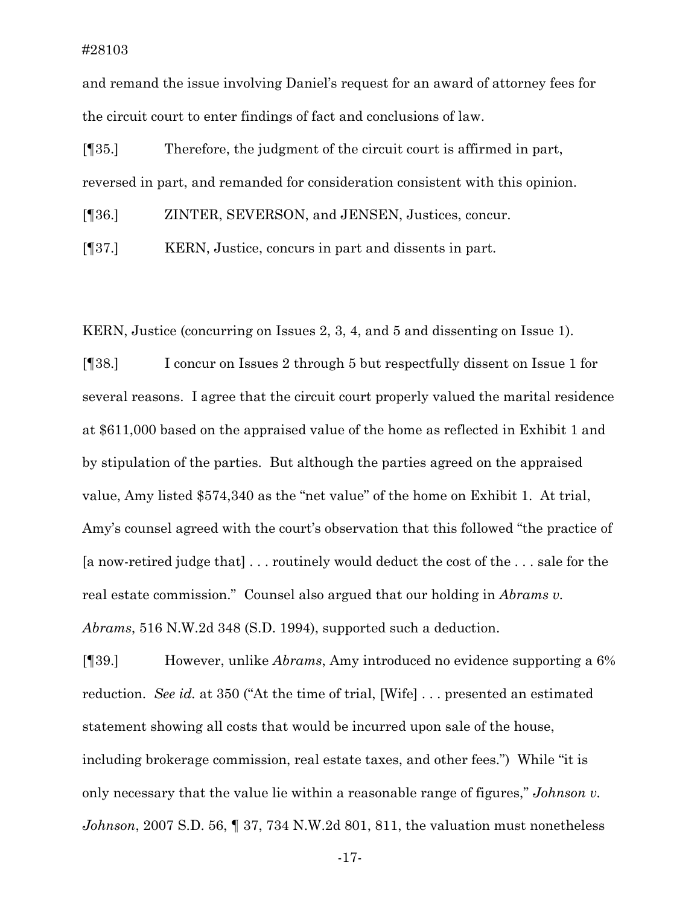and remand the issue involving Daniel's request for an award of attorney fees for the circuit court to enter findings of fact and conclusions of law.

[¶35.] Therefore, the judgment of the circuit court is affirmed in part, reversed in part, and remanded for consideration consistent with this opinion.

[¶36.] ZINTER, SEVERSON, and JENSEN, Justices, concur.

[¶37.] KERN, Justice, concurs in part and dissents in part.

KERN, Justice (concurring on Issues 2, 3, 4, and 5 and dissenting on Issue 1).

[¶38.] I concur on Issues 2 through 5 but respectfully dissent on Issue 1 for several reasons. I agree that the circuit court properly valued the marital residence at \$611,000 based on the appraised value of the home as reflected in Exhibit 1 and by stipulation of the parties. But although the parties agreed on the appraised value, Amy listed \$574,340 as the "net value" of the home on Exhibit 1. At trial, Amy's counsel agreed with the court's observation that this followed "the practice of [a now-retired judge that] . . . routinely would deduct the cost of the . . . sale for the real estate commission." Counsel also argued that our holding in *Abrams v. Abrams*, 516 N.W.2d 348 (S.D. 1994), supported such a deduction.

[¶39.] However, unlike *Abrams*, Amy introduced no evidence supporting a 6% reduction. *See id.* at 350 ("At the time of trial, [Wife] . . . presented an estimated statement showing all costs that would be incurred upon sale of the house, including brokerage commission, real estate taxes, and other fees.") While "it is only necessary that the value lie within a reasonable range of figures," *Johnson v. Johnson*, 2007 S.D. 56, ¶ 37, 734 N.W.2d 801, 811, the valuation must nonetheless

-17-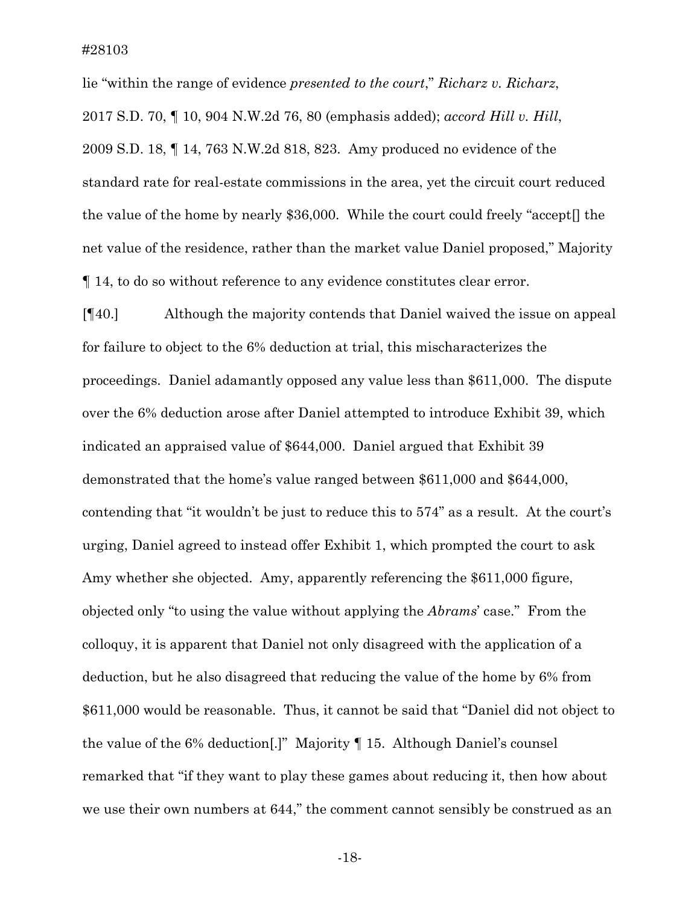lie "within the range of evidence *presented to the court*," *Richarz v. Richarz*, 2017 S.D. 70, ¶ 10, 904 N.W.2d 76, 80 (emphasis added); *accord Hill v. Hill*, 2009 S.D. 18, ¶ 14, 763 N.W.2d 818, 823. Amy produced no evidence of the standard rate for real-estate commissions in the area, yet the circuit court reduced the value of the home by nearly \$36,000. While the court could freely "accept[] the net value of the residence, rather than the market value Daniel proposed," Majority ¶ 14, to do so without reference to any evidence constitutes clear error.

[¶40.] Although the majority contends that Daniel waived the issue on appeal for failure to object to the 6% deduction at trial, this mischaracterizes the proceedings. Daniel adamantly opposed any value less than \$611,000. The dispute over the 6% deduction arose after Daniel attempted to introduce Exhibit 39, which indicated an appraised value of \$644,000. Daniel argued that Exhibit 39 demonstrated that the home's value ranged between \$611,000 and \$644,000, contending that "it wouldn't be just to reduce this to 574" as a result. At the court's urging, Daniel agreed to instead offer Exhibit 1, which prompted the court to ask Amy whether she objected. Amy, apparently referencing the \$611,000 figure, objected only "to using the value without applying the *Abrams*' case." From the colloquy, it is apparent that Daniel not only disagreed with the application of a deduction, but he also disagreed that reducing the value of the home by 6% from \$611,000 would be reasonable. Thus, it cannot be said that "Daniel did not object to the value of the 6% deduction[.]" Majority ¶ 15. Although Daniel's counsel remarked that "if they want to play these games about reducing it, then how about we use their own numbers at 644," the comment cannot sensibly be construed as an

-18-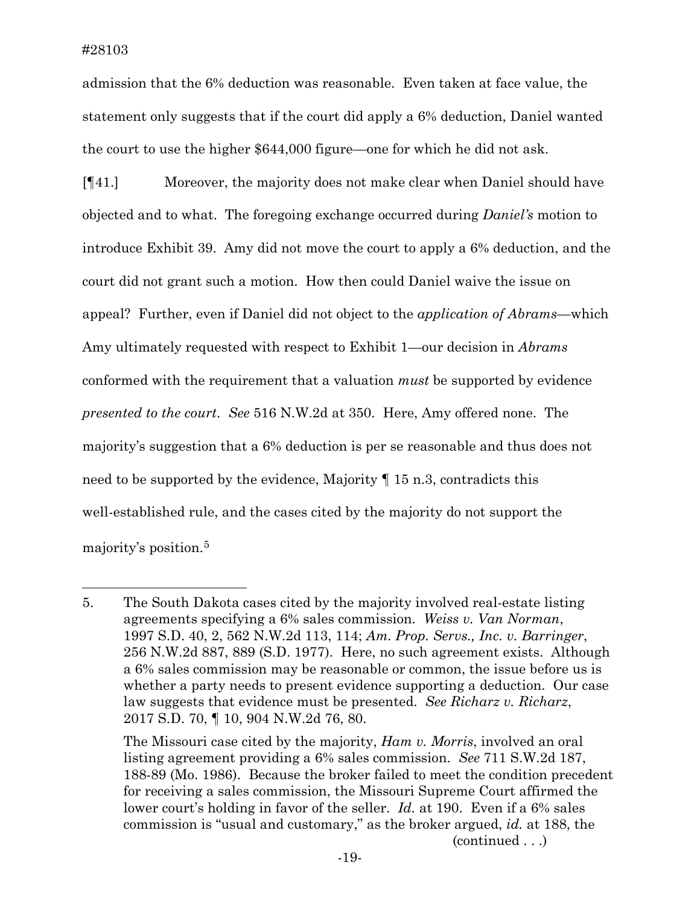$\overline{a}$ 

admission that the 6% deduction was reasonable. Even taken at face value, the statement only suggests that if the court did apply a 6% deduction, Daniel wanted the court to use the higher \$644,000 figure—one for which he did not ask.

[¶41.] Moreover, the majority does not make clear when Daniel should have objected and to what. The foregoing exchange occurred during *Daniel's* motion to introduce Exhibit 39. Amy did not move the court to apply a 6% deduction, and the court did not grant such a motion. How then could Daniel waive the issue on appeal? Further, even if Daniel did not object to the *application of Abrams*—which Amy ultimately requested with respect to Exhibit 1—our decision in *Abrams*  conformed with the requirement that a valuation *must* be supported by evidence *presented to the court*. *See* 516 N.W.2d at 350. Here, Amy offered none. The majority's suggestion that a 6% deduction is per se reasonable and thus does not need to be supported by the evidence, Majority ¶ 15 n.3, contradicts this well-established rule, and the cases cited by the majority do not support the majority's position.[5](#page-19-0)

<span id="page-19-0"></span><sup>5.</sup> The South Dakota cases cited by the majority involved real-estate listing agreements specifying a 6% sales commission. *Weiss v. Van Norman*, 1997 S.D. 40, 2, 562 N.W.2d 113, 114; *Am. Prop. Servs., Inc. v. Barringer*, 256 N.W.2d 887, 889 (S.D. 1977). Here, no such agreement exists. Although a 6% sales commission may be reasonable or common, the issue before us is whether a party needs to present evidence supporting a deduction. Our case law suggests that evidence must be presented. *See Richarz v. Richarz*, 2017 S.D. 70, ¶ 10, 904 N.W.2d 76, 80.

The Missouri case cited by the majority, *Ham v. Morris*, involved an oral listing agreement providing a 6% sales commission. *See* 711 S.W.2d 187, 188-89 (Mo. 1986). Because the broker failed to meet the condition precedent for receiving a sales commission, the Missouri Supreme Court affirmed the lower court's holding in favor of the seller. *Id.* at 190. Even if a 6% sales commission is "usual and customary," as the broker argued, *id.* at 188, the